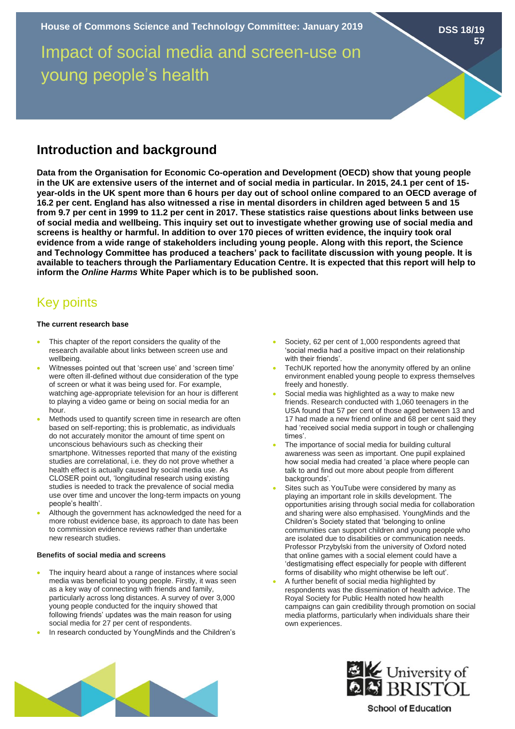Impact of social media and screen-use on young people's health

# **Introduction and background**

**Data from the Organisation for Economic Co-operation and Development (OECD) show that young people in the UK are extensive users of the internet and of social media in particular. In 2015, 24.1 per cent of 15 year-olds in the UK spent more than 6 hours per day out of school online compared to an OECD average of 16.2 per cent. England has also witnessed a rise in mental disorders in children aged between 5 and 15 from 9.7 per cent in 1999 to 11.2 per cent in 2017. These statistics raise questions about links between use of social media and wellbeing. This inquiry set out to investigate whether growing use of social media and screens is healthy or harmful. In addition to over 170 pieces of written evidence, the inquiry took oral evidence from a wide range of stakeholders including young people. Along with this report, the Science and Technology Committee has produced a teachers' pack to facilitate discussion with young people. It is available to teachers through the Parliamentary Education Centre. It is expected that this report will help to inform the** *Online Harms* **White Paper which is to be published soon.** 

# Key points

### **The current research base**

- This chapter of the report considers the quality of the research available about links between screen use and wellbeing.
- Witnesses pointed out that 'screen use' and 'screen time' were often ill-defined without due consideration of the type of screen or what it was being used for. For example, watching age-appropriate television for an hour is different to playing a video game or being on social media for an hour.
- Methods used to quantify screen time in research are often based on self-reporting; this is problematic, as individuals do not accurately monitor the amount of time spent on unconscious behaviours such as checking their smartphone. Witnesses reported that many of the existing studies are correlational, i.e. they do not prove whether a health effect is actually caused by social media use. As CLOSER point out, 'longitudinal research using existing studies is needed to track the prevalence of social media use over time and uncover the long-term impacts on young people's health'.
- Although the government has acknowledged the need for a more robust evidence base, its approach to date has been to commission evidence reviews rather than undertake new research studies.

## **Benefits of social media and screens**

- The inquiry heard about a range of instances where social media was beneficial to young people. Firstly, it was seen as a key way of connecting with friends and family, particularly across long distances. A survey of over 3,000 young people conducted for the inquiry showed that following friends' updates was the main reason for using social media for 27 per cent of respondents.
- In research conducted by YoungMinds and the Children's
- Society, 62 per cent of 1,000 respondents agreed that 'social media had a positive impact on their relationship with their friends'.
- TechUK reported how the anonymity offered by an online environment enabled young people to express themselves freely and honestly.
- Social media was highlighted as a way to make new friends. Research conducted with 1,060 teenagers in the USA found that 57 per cent of those aged between 13 and 17 had made a new friend online and 68 per cent said they had 'received social media support in tough or challenging times'.
- The importance of social media for building cultural awareness was seen as important. One pupil explained how social media had created 'a place where people can talk to and find out more about people from different backgrounds'.
- Sites such as YouTube were considered by many as playing an important role in skills development. The opportunities arising through social media for collaboration and sharing were also emphasised. YoungMinds and the Children's Society stated that 'belonging to online communities can support children and young people who are isolated due to disabilities or communication needs. Professor Przybylski from the university of Oxford noted that online games with a social element could have a 'destigmatising effect especially for people with different forms of disability who might otherwise be left out'.
- A further benefit of social media highlighted by respondents was the dissemination of health advice. The Royal Society for Public Health noted how health campaigns can gain credibility through promotion on social media platforms, particularly when individuals share their own experiences.





**School of Education** 

**DSS 18/19**

**57**